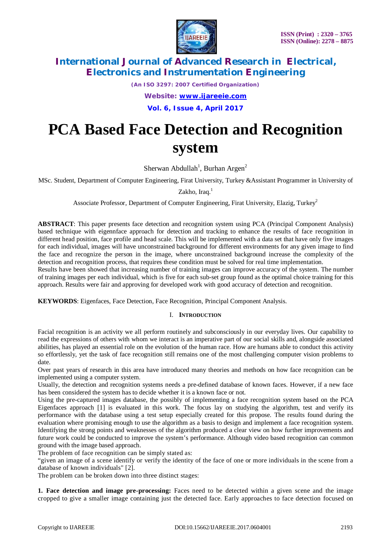

*(An ISO 3297: 2007 Certified Organization) Website: [www.ijareeie.com](http://www.ijareeie.com)* **Vol. 6, Issue 4, April 2017**

# **PCA Based Face Detection and Recognition system**

Sherwan Abdullah<sup>1</sup>, Burhan Argen<sup>2</sup>

MSc. Student, Department of Computer Engineering, Firat University, Turkey &Assistant Programmer in University of

Zakho, Iraq.<sup>1</sup>

Associate Professor, Department of Computer Engineering, Firat University, Elazig, Turkey<sup>2</sup>

**ABSTRACT**: This paper presents face detection and recognition system using PCA (Principal Component Analysis) based technique with eigennface approach for detection and tracking to enhance the results of face recognition in different head position, face profile and head scale. This will be implemented with a data set that have only five images for each individual, images will have unconstrained background for different environments for any given image to find the face and recognize the person in the image, where unconstrained background increase the complexity of the detection and recognition process, that requires these condition must be solved for real time implementation.

Results have been showed that increasing number of training images can improve accuracy of the system. The number of training images per each individual, which is five for each sub-set group found as the optimal choice training for this approach. Results were fair and approving for developed work with good accuracy of detection and recognition.

**KEYWORDS**: Eigenfaces, Face Detection, Face Recognition, Principal Component Analysis.

## I. **INTRODUCTION**

Facial recognition is an activity we all perform routinely and subconsciously in our everyday lives. Our capability to read the expressions of others with whom we interact is an imperative part of our social skills and, alongside associated abilities, has played an essential role on the evolution of the human race. How are humans able to conduct this activity so effortlessly, yet the task of face recognition still remains one of the most challenging computer vision problems to date.

Over past years of research in this area have introduced many theories and methods on how face recognition can be implemented using a computer system.

Usually, the detection and recognition systems needs a pre-defined database of known faces. However, if a new face has been considered the system has to decide whether it is a known face or not.

Using the pre-captured images database, the possibly of implementing a face recognition system based on the PCA Eigenfaces approach [1] is evaluated in this work. The focus lay on studying the algorithm, test and verify its performance with the database using a test setup especially created for this propose. The results found during the evaluation where promising enough to use the algorithm as a basis to design and implement a face recognition system. Identifying the strong points and weaknesses of the algorithm produced a clear view on how further improvements and future work could be conducted to improve the system's performance. Although video based recognition can common ground with the image based approach.

The problem of face recognition can be simply stated as:

"given an image of a scene identify or verify the identity of the face of one or more individuals in the scene from a database of known individuals" [2].

The problem can be broken down into three distinct stages:

**1. Face detection and image pre-processing:** Faces need to be detected within a given scene and the image cropped to give a smaller image containing just the detected face. Early approaches to face detection focused on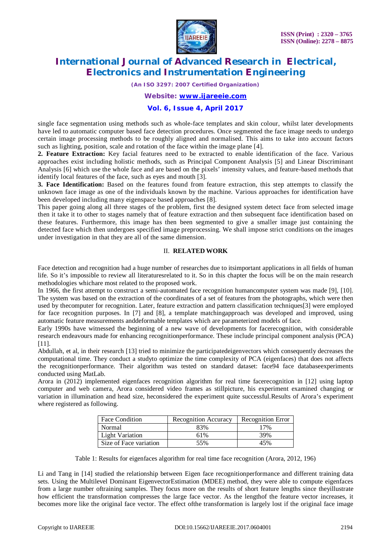

*(An ISO 3297: 2007 Certified Organization)*

*Website: [www.ijareeie.com](http://www.ijareeie.com)*

## **Vol. 6, Issue 4, April 2017**

single face segmentation using methods such as whole-face templates and skin colour, whilst later developments have led to automatic computer based face detection procedures. Once segmented the face image needs to undergo certain image processing methods to be roughly aligned and normalised. This aims to take into account factors such as lighting, position, scale and rotation of the face within the image plane [4].

**2. Feature Extraction:** Key facial features need to be extracted to enable identification of the face. Various approaches exist including holistic methods, such as Principal Component Analysis [5] and Linear Discriminant Analysis [6] which use the whole face and are based on the pixels' intensity values, and feature-based methods that identify local features of the face, such as eyes and mouth [3].

**3. Face Identification:** Based on the features found from feature extraction, this step attempts to classify the unknown face image as one of the individuals known by the machine. Various approaches for identification have been developed including many eigenspace based approaches [8].

This paper going along all three stages of the problem, first the designed system detect face from selected image then it take it to other to stages namely that of feature extraction and then subsequent face identification based on these features. Furthermore, this image has then been segmented to give a smaller image just containing the detected face which then undergoes specified image preprocessing. We shall impose strict conditions on the images under investigation in that they are all of the same dimension.

## II. **RELATED WORK**

Face detection and recognition had a huge number of researches due to itsimportant applications in all fields of human life. So it's impossible to review all literaturesrelated to it. So in this chapter the focus will be on the main research methodologies whichare most related to the proposed work.

In 1966, the first attempt to construct a semi-automated face recognition humancomputer system was made [9], [10]. The system was based on the extraction of the coordinates of a set of features from the photographs, which were then used by thecomputer for recognition. Later, feature extraction and pattern classification techniques[3] were employed for face recognition purposes. In [7] and [8], a template matchingapproach was developed and improved, using automatic feature measurements anddeformable templates which are parameterized models of face.

Early 1990s have witnessed the beginning of a new wave of developments for facerecognition, with considerable research endeavours made for enhancing recognitionperformance. These include principal component analysis (PCA) [11].

Abdullah, et al, in their research [13] tried to minimize the participatedeigenvectors which consequently decreases the computational time. They conduct a studyto optimize the time complexity of PCA (eigenfaces) that does not affects the recognitionperformance. Their algorithm was tested on standard dataset: face94 face databaseexperiments conducted using MatLab.

Arora in (2012) implemented eigenfaces recognition algorithm for real time facerecognition in [12] using laptop computer and web camera, Arora considered video frames as stillpicture, his experiment examined changing or variation in illumination and head size, heconsidered the experiment quite successful.Results of Arora's experiment where registered as following.

| <b>Face Condition</b>  | Recognition Accuracy | Recognition Error |
|------------------------|----------------------|-------------------|
| Normal                 | 83%                  | 17%               |
| <b>Light Variation</b> | 61%                  | 39%               |
| Size of Face variation | 55%                  | 45%               |

Table 1: Results for eigenfaces algorithm for real time face recognition (Arora, 2012, 196)

Li and Tang in [14] studied the relationship between Eigen face recognitionperformance and different training data sets. Using the Multilevel Dominant EigenvectorEstimation (MDEE) method, they were able to compute eigenfaces from a large number oftraining samples. They focus more on the results of short feature lengths since theyillustrate how efficient the transformation compresses the large face vector. As the lengthof the feature vector increases, it becomes more like the original face vector. The effect ofthe transformation is largely lost if the original face image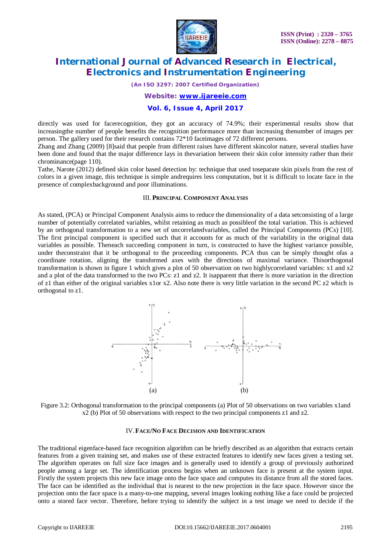

*(An ISO 3297: 2007 Certified Organization)*

## *Website: [www.ijareeie.com](http://www.ijareeie.com)*

## **Vol. 6, Issue 4, April 2017**

directly was used for facerecognition, they got an accuracy of 74.9%; their experimental results show that increasingthe number of people benefits the recognition performance more than increasing thenumber of images per person. The gallery used for their research contains 72\*10 faceimages of 72 different persons.

Zhang and Zhang (2009) [8]said that people from different raises have different skincolor nature, several studies have been done and found that the major difference lays in thevariation between their skin color intensity rather than their chrominance(page 110).

Tathe, Narote (2012) defined skin color based detection by: technique that used toseparate skin pixels from the rest of colors in a given image, this technique is simple andrequires less computation, but it is difficult to locate face in the presence of complexbackground and poor illuminations.

### III. **PRINCIPAL COMPONENT ANALYSIS**

As stated, (PCA) or Principal Component Analysis aims to reduce the dimensionality of a data setconsisting of a large number of potentially correlated variables, whilst retaining as much as possibleof the total variation. This is achieved by an orthogonal transformation to a new set of uncorrelatedvariables, called the Principal Components (PCs) [10]. The first principal component is specified such that it accounts for as much of the variability in the original data variables as possible. Theneach succeeding component in turn, is constructed to have the highest variance possible, under theconstraint that it be orthogonal to the proceeding components. PCA thus can be simply thought ofas a coordinate rotation, aligning the transformed axes with the directions of maximal variance. Thisorthogonal transformation is shown in figure 1 which gives a plot of 50 observation on two highlycorrelated variables: x1 and x2 and a plot of the data transformed to the two PCs: z1 and z2. It isapparent that there is more variation in the direction of z1 than either of the original variables x1or x2. Also note there is very little variation in the second PC z2 which is orthogonal to z1.



Figure 3.2: Orthogonal transformation to the principal components (a) Plot of 50 observations on two variables x1and x2 (b) Plot of 50 observations with respect to the two principal components z1 and z2.

### IV.**FACE/NO FACE DECISION AND IDENTIFICATION**

The traditional eigenface-based face recognition algorithm can be briefly described as an algorithm that extracts certain features from a given training set, and makes use of these extracted features to identify new faces given a testing set. The algorithm operates on full size face images and is generally used to identify a group of previously authorized people among a large set. The identification process begins when an unknown face is present at the system input. Firstly the system projects this new face image onto the face space and computes its distance from all the stored faces. The face can be identified as the individual that is nearest to the new projection in the face space. However since the projection onto the face space is a many-to-one mapping, several images looking nothing like a face could be projected onto a stored face vector. Therefore, before trying to identify the subject in a test image we need to decide if the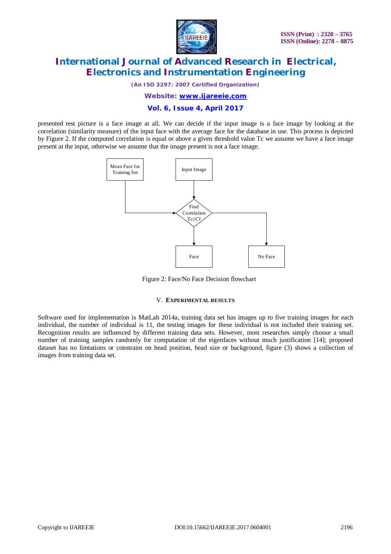

*(An ISO 3297: 2007 Certified Organization)*

*Website: [www.ijareeie.com](http://www.ijareeie.com)*

## **Vol. 6, Issue 4, April 2017**

presented test picture is a face image at all. We can decide if the input image is a face image by looking at the correlation (similarity measure) of the input face with the average face for the database in use. This process is depicted by Figure 2. If the computed correlation is equal or above a given threshold value Tc we assume we have a face image present at the input, otherwise we assume that the image present is not a face image.



Figure 2: Face/No Face Decision flowchart

## V. **EXPERIMENTAL RESULTS**

Software used for implementation is MatLab 2014a, training data set has images up to five training images for each individual, the number of individual is 11, the testing images for these individual is not included their training set. Recognition results are influenced by different training data sets. However, most researches simply choose a small number of training samples randomly for computation of the eigenfaces without much justification [14]; proposed dataset has no limtations or constraint on head position, head size or background, figure (3) shows a collection of images from training data set.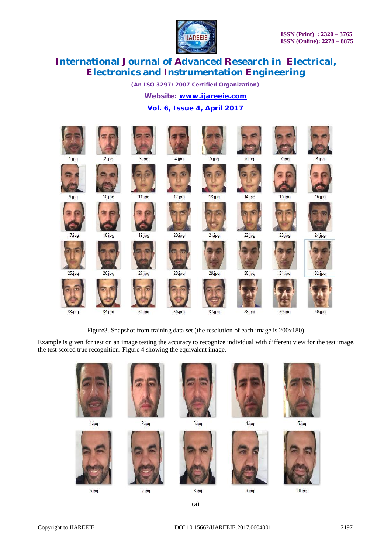

*(An ISO 3297: 2007 Certified Organization)*

*Website: [www.ijareeie.com](http://www.ijareeie.com)*

## **Vol. 6, Issue 4, April 2017**



Figure3. Snapshot from training data set (the resolution of each image is 200x180)

Example is given for test on an image testing the accuracy to recognize individual with different view for the test image, the test scored true recognition. Figure 4 showing the equivalent image.

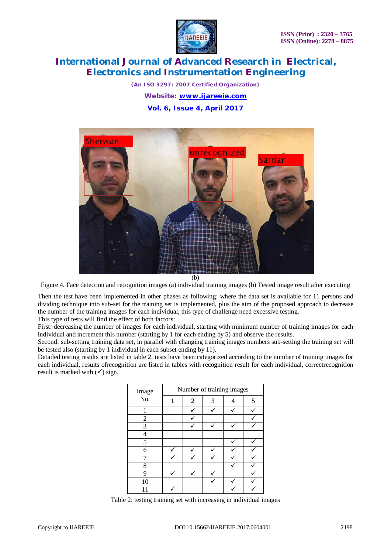

*(An ISO 3297: 2007 Certified Organization) Website: [www.ijareeie.com](http://www.ijareeie.com)* **Vol. 6, Issue 4, April 2017**



(b)

Figure 4. Face detection and recognition images (a) individual training images (b) Tested image result after executing

Then the test have been implemented in other phases as following: where the data set is available for 11 persons and dividing technique into sub-set for the training set is implemented, plus the aim of the proposed approach to decrease the number of the training images for each individual, this type of challenge need excessive testing.

This type of tests will find the effect of both factors:

First: decreasing the number of images for each individual, starting with minimum number of training images for each individual and increment this number (starting by 1 for each ending by 5) and observe the results.

Second: sub-setting training data set, in parallel with changing training images numbers sub-setting the training set will be tested also (starting by 1 individual in each subset ending by 11).

Detailed testing results are listed in table 2, tests have been categorized according to the number of training images for each individual, results ofrecognition are listed in tables with recognition result for each individual, correctrecognition result is marked with  $(\checkmark)$  sign.

| Image          | Number of training images |                |   |  |   |
|----------------|---------------------------|----------------|---|--|---|
| No.            | 1                         | $\overline{2}$ | 3 |  | 5 |
|                |                           |                |   |  |   |
| $\overline{2}$ |                           |                |   |  |   |
| 3              |                           |                |   |  |   |
|                |                           |                |   |  |   |
| 5              |                           |                |   |  |   |
| 6              |                           |                |   |  |   |
|                |                           |                |   |  |   |
| 8              |                           |                |   |  |   |
| 9              |                           |                |   |  |   |
| 10             |                           |                |   |  |   |
|                |                           |                |   |  |   |

Table 2: testing training set with increasing in individual images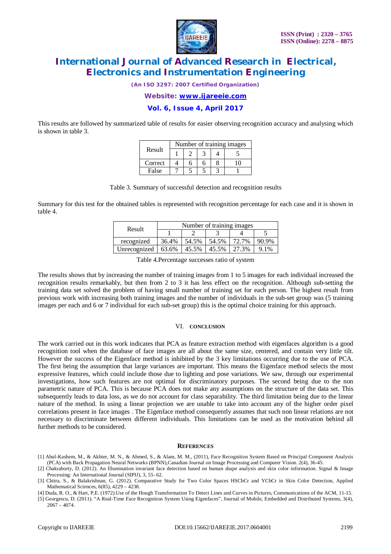

*(An ISO 3297: 2007 Certified Organization)*

*Website: [www.ijareeie.com](http://www.ijareeie.com)*

**Vol. 6, Issue 4, April 2017**

This results are followed by summarized table of results for easier observing recognition accuracy and analysing which is shown in table 3.

| Result  | Number of training images |  |  |  |  |
|---------|---------------------------|--|--|--|--|
|         |                           |  |  |  |  |
| Correct |                           |  |  |  |  |
| False   |                           |  |  |  |  |

Table 3. Summary of successful detection and recognition results

Summary for this test for the obtained tables is represented with recognition percentage for each case and it is shown in table 4.

| Result       | Number of training images |       |       |       |         |
|--------------|---------------------------|-------|-------|-------|---------|
|              |                           |       |       |       |         |
| recognized   | 36.4%                     | 54.5% | 54.5% | 72.7% | 90.9%   |
| Unrecognized | 63.6%                     | 45.5% | 45.5% | 27.3% | $9.1\%$ |

Table 4.Percentage successes ratio of system

The results shows that by increasing the number of training images from 1 to 5 images for each individual increased the recognition results remarkably, but then from 2 to 3 it has less effect on the recognition. Although sub-setting the training data set solved the problem of having small number of training set for each person. The highest result from previous work with increasing both training images and the number of individuals in the sub-set group was (5 training images per each and 6 or 7 individual for each sub-set group) this is the optimal choice training for this approach.

#### VI. **CONCLUSION**

The work carried out in this work indicates that PCA as feature extraction method with eigenfaces algorithm is a good recognition tool when the database of face images are all about the same size, centered, and contain very little tilt. However the success of the Eigenface method is inhibited by the 3 key limitations occurring due to the use of PCA. The first being the assumption that large variances are important. This means the Eigenface method selects the most expressive features, which could include those due to lighting and pose variations. We saw, through our experimental investigations, how such features are not optimal for discriminatory purposes. The second being due to the non parametric nature of PCA. This is because PCA does not make any assumptions on the structure of the data set. This subsequently leads to data loss, as we do not account for class separability. The third limitation being due to the linear nature of the method. In using a linear projection we are unable to take into account any of the higher order pixel correlations present in face images . The Eigenface method consequently assumes that such non linear relations are not necessary to discriminate between different individuals. This limitations can be used as the motivation behind all further methods to be considered.

#### **REFERENCES**

- [1] Abul-Kashem, M., & Akhter, M. N., & Ahmed, S., & Alam, M. M., (2011), Face Recognition System Based on Principal Component Analysis (PCA) with Back Propagation Neural Networks (BPNN),Canadian Journal on Image Processing and Computer Vision. 2(4), 36-45.
- [2] Chakraborty, D. (2012). An Illumination invariant face detection based on human shape analysis and skin color information. Signal & Image Processing: An International Journal (SIPIJ), 3, 55- 62.
- [3] Chitra, S., & Balakrishnan, G. (2012). Comparative Study for Two Color Spaces HSCbCr and YCbCr in Skin Color Detection, Applied Mathematical Sciences, 6(85), 4229 – 4238.

[4] Duda, R. O., & Hart, P,E. (1972).Use of the Hough Transformation To Detect Lines and Curves in Pictures, Communications of the ACM, 11-15.

[5] Georgescu, D. (2011). "A Real-Time Face Recognition System Using Eigenfaces", Journal of Mobile, Embedded and Distributed Systems, 3(4),  $2067 - 4074.$